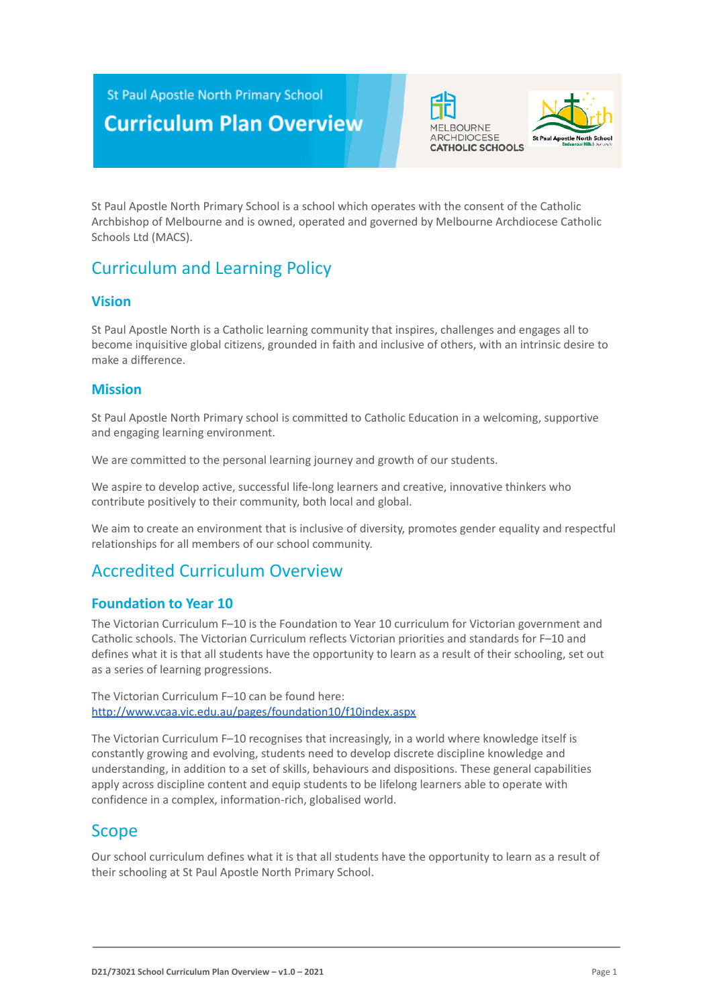**St Paul Apostle North Primary School** 

# **Curriculum Plan Overview**





St Paul Apostle North Primary School is a school which operates with the consent of the Catholic Archbishop of Melbourne and is owned, operated and governed by Melbourne Archdiocese Catholic Schools Ltd (MACS).

## Curriculum and Learning Policy

#### **Vision**

St Paul Apostle North is a Catholic learning community that inspires, challenges and engages all to become inquisitive global citizens, grounded in faith and inclusive of others, with an intrinsic desire to make a difference.

### **Mission**

St Paul Apostle North Primary school is committed to Catholic Education in a welcoming, supportive and engaging learning environment.

We are committed to the personal learning journey and growth of our students.

We aspire to develop active, successful life-long learners and creative, innovative thinkers who contribute positively to their community, both local and global.

We aim to create an environment that is inclusive of diversity, promotes gender equality and respectful relationships for all members of our school community.

# Accredited Curriculum Overview

#### **Foundation to Year 10**

The Victorian Curriculum F–10 is the Foundation to Year 10 curriculum for Victorian government and Catholic schools. The Victorian Curriculum reflects Victorian priorities and standards for F–10 and defines what it is that all students have the opportunity to learn as a result of their schooling, set out as a series of learning progressions.

The Victorian Curriculum F–10 can be found here: <http://www.vcaa.vic.edu.au/pages/foundation10/f10index.aspx>

The Victorian Curriculum F–10 recognises that increasingly, in a world where knowledge itself is constantly growing and evolving, students need to develop discrete discipline knowledge and understanding, in addition to a set of skills, behaviours and dispositions. These general capabilities apply across discipline content and equip students to be lifelong learners able to operate with confidence in a complex, information-rich, globalised world.

## Scope

Our school curriculum defines what it is that all students have the opportunity to learn as a result of their schooling at St Paul Apostle North Primary School.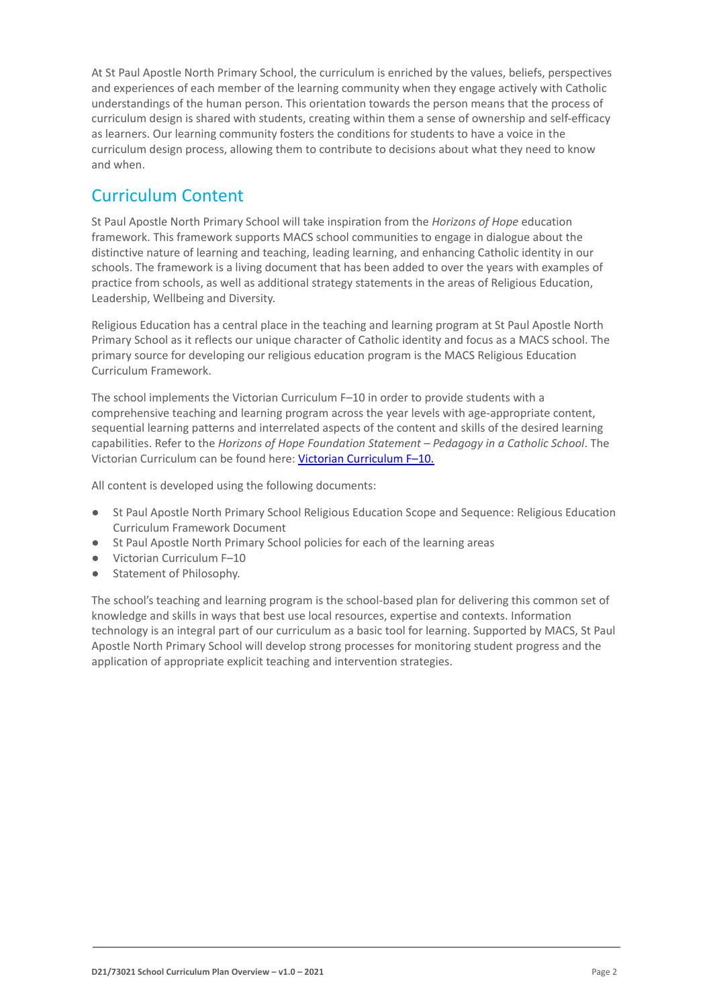At St Paul Apostle North Primary School, the curriculum is enriched by the values, beliefs, perspectives and experiences of each member of the learning community when they engage actively with Catholic understandings of the human person. This orientation towards the person means that the process of curriculum design is shared with students, creating within them a sense of ownership and self-efficacy as learners. Our learning community fosters the conditions for students to have a voice in the curriculum design process, allowing them to contribute to decisions about what they need to know and when.

## Curriculum Content

St Paul Apostle North Primary School will take inspiration from the *Horizons of Hope* education framework. This framework supports MACS school communities to engage in dialogue about the distinctive nature of learning and teaching, leading learning, and enhancing Catholic identity in our schools. The framework is a living document that has been added to over the years with examples of practice from schools, as well as additional strategy statements in the areas of Religious Education, Leadership, Wellbeing and Diversity.

Religious Education has a central place in the teaching and learning program at St Paul Apostle North Primary School as it reflects our unique character of Catholic identity and focus as a MACS school. The primary source for developing our religious education program is the MACS Religious Education Curriculum Framework.

The school implements the Victorian Curriculum F–10 in order to provide students with a comprehensive teaching and learning program across the year levels with age-appropriate content, sequential learning patterns and interrelated aspects of the content and skills of the desired learning capabilities. Refer to the *Horizons of Hope Foundation Statement – Pedagogy in a Catholic School*. The Victorian Curriculum can be found here: Victorian [Curriculum F–10](https://victoriancurriculum.vcaa.vic.edu.au/).

All content is developed using the following documents:

- St Paul Apostle North Primary School Religious Education Scope and Sequence: Religious Education Curriculum Framework Document
- St Paul Apostle North Primary School policies for each of the learning areas
- Victorian Curriculum F-10
- Statement of Philosophy.

The school's teaching and learning program is the school-based plan for delivering this common set of knowledge and skills in ways that best use local resources, expertise and contexts. Information technology is an integral part of our curriculum as a basic tool for learning. Supported by MACS, St Paul Apostle North Primary School will develop strong processes for monitoring student progress and the application of appropriate explicit teaching and intervention strategies.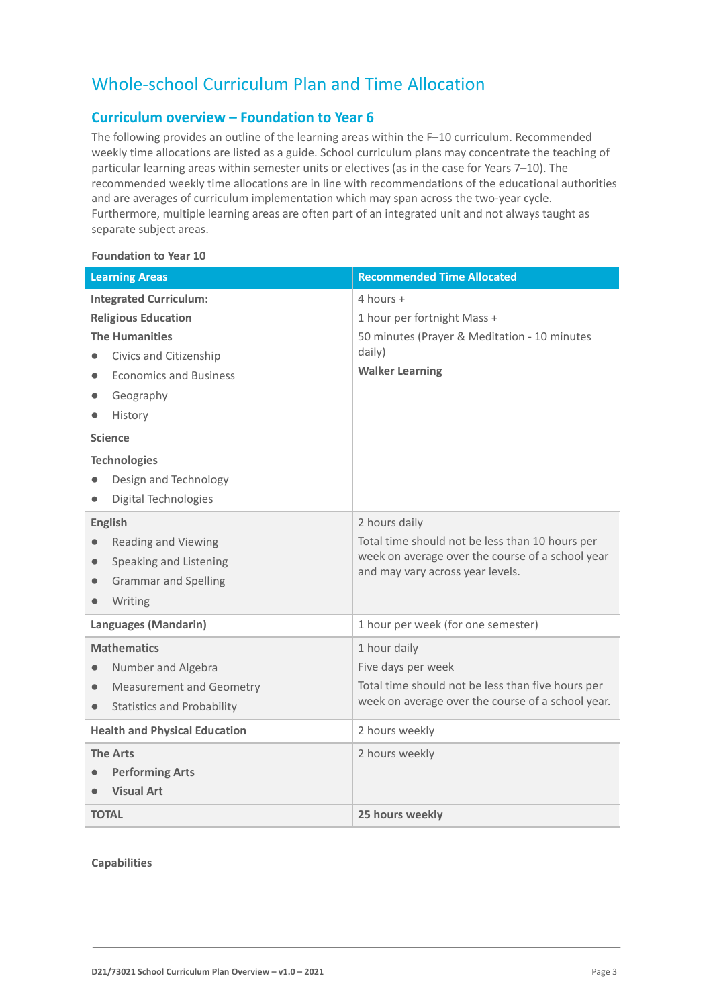# Whole-school Curriculum Plan and Time Allocation

#### **Curriculum overview – Foundation to Year 6**

The following provides an outline of the learning areas within the F–10 curriculum. Recommended weekly time allocations are listed as a guide. School curriculum plans may concentrate the teaching of particular learning areas within semester units or electives (as in the case for Years 7–10). The recommended weekly time allocations are in line with recommendations of the educational authorities and are averages of curriculum implementation which may span across the two-year cycle. Furthermore, multiple learning areas are often part of an integrated unit and not always taught as separate subject areas.

#### **Foundation to Year 10**

| <b>Learning Areas</b>                          | <b>Recommended Time Allocated</b>                                                    |
|------------------------------------------------|--------------------------------------------------------------------------------------|
| <b>Integrated Curriculum:</b>                  | 4 hours +                                                                            |
| <b>Religious Education</b>                     | 1 hour per fortnight Mass +                                                          |
| <b>The Humanities</b>                          | 50 minutes (Prayer & Meditation - 10 minutes                                         |
| Civics and Citizenship                         | daily)                                                                               |
| <b>Economics and Business</b><br>$\bullet$     | <b>Walker Learning</b>                                                               |
| Geography                                      |                                                                                      |
| History                                        |                                                                                      |
| <b>Science</b>                                 |                                                                                      |
| <b>Technologies</b>                            |                                                                                      |
| Design and Technology                          |                                                                                      |
| Digital Technologies                           |                                                                                      |
| <b>English</b>                                 | 2 hours daily                                                                        |
| <b>Reading and Viewing</b>                     | Total time should not be less than 10 hours per                                      |
| Speaking and Listening<br>$\bullet$            | week on average over the course of a school year<br>and may vary across year levels. |
| <b>Grammar and Spelling</b><br>$\bullet$       |                                                                                      |
| Writing                                        |                                                                                      |
| Languages (Mandarin)                           | 1 hour per week (for one semester)                                                   |
| <b>Mathematics</b>                             | 1 hour daily                                                                         |
| Number and Algebra                             | Five days per week                                                                   |
| <b>Measurement and Geometry</b><br>$\bullet$   | Total time should not be less than five hours per                                    |
| <b>Statistics and Probability</b><br>$\bullet$ | week on average over the course of a school year.                                    |
| <b>Health and Physical Education</b>           | 2 hours weekly                                                                       |
| <b>The Arts</b>                                | 2 hours weekly                                                                       |
| <b>Performing Arts</b>                         |                                                                                      |
| <b>Visual Art</b>                              |                                                                                      |
| <b>TOTAL</b>                                   | 25 hours weekly                                                                      |

#### **Capabilities**